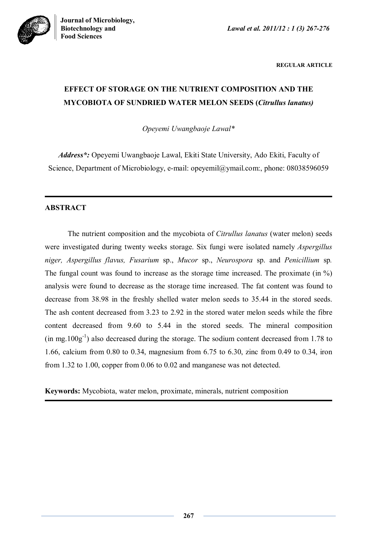

**REGULAR ARTICLE**

# **EFFECT OF STORAGE ON THE NUTRIENT COMPOSITION AND THE MYCOBIOTA OF SUNDRIED WATER MELON SEEDS (***Citrullus lanatus)*

*Opeyemi Uwangbaoje Lawal\**

*Address\*:* Opeyemi Uwangbaoje Lawal, Ekiti State University, Ado Ekiti, Faculty of Science, Department of Microbiology, e-mail: opeyemil@ymail.com:, phone: 08038596059

# **ABSTRACT**

The nutrient composition and the mycobiota of *Citrullus lanatus* (water melon) seeds were investigated during twenty weeks storage. Six fungi were isolated namely *Aspergillus niger, Aspergillus flavus, Fusarium* sp., *Mucor* sp., *Neurospora* sp. and *Penicillium* sp*.*  The fungal count was found to increase as the storage time increased. The proximate (in %) analysis were found to decrease as the storage time increased. The fat content was found to decrease from 38.98 in the freshly shelled water melon seeds to 35.44 in the stored seeds. The ash content decreased from 3.23 to 2.92 in the stored water melon seeds while the fibre content decreased from 9.60 to 5.44 in the stored seeds. The mineral composition  $(in mg.100g<sup>-1</sup>)$  also decreased during the storage. The sodium content decreased from 1.78 to 1.66, calcium from 0.80 to 0.34, magnesium from 6.75 to 6.30, zinc from 0.49 to 0.34, iron from 1.32 to 1.00, copper from 0.06 to 0.02 and manganese was not detected.

**Keywords:** Mycobiota, water melon, proximate, minerals, nutrient composition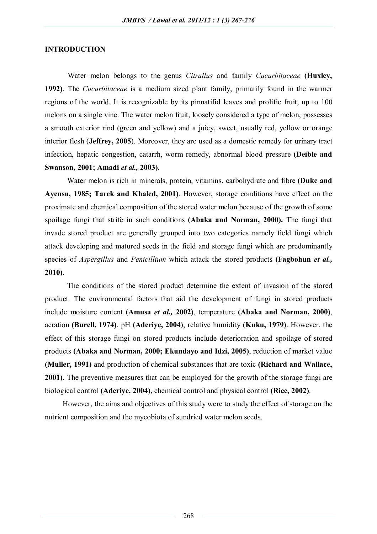# **INTRODUCTION**

Water melon belongs to the genus *Citrullus* and family *Cucurbitaceae* **(Huxley, 1992)**. The *Cucurbitaceae* is a medium sized plant family, primarily found in the warmer regions of the world. It is recognizable by its pinnatifid leaves and prolific fruit, up to 100 melons on a single vine. The water melon fruit, loosely considered a type of melon, possesses a smooth exterior rind (green and yellow) and a juicy, sweet, usually red, yellow or orange interior flesh (**Jeffrey, 2005**). Moreover, they are used as a domestic remedy for urinary tract infection, hepatic congestion, catarrh, worm remedy, abnormal blood pressure **(Deible and Swanson, 2001; Amadi** *et al.,* **2003)**.

Water melon is rich in minerals, protein, vitamins, carbohydrate and fibre **(Duke and Ayensu, 1985; Tarek and Khaled, 2001)**. However, storage conditions have effect on the proximate and chemical composition of the stored water melon because of the growth of some spoilage fungi that strife in such conditions **(Abaka and Norman, 2000).** The fungi that invade stored product are generally grouped into two categories namely field fungi which attack developing and matured seeds in the field and storage fungi which are predominantly species of *Aspergillus* and *Penicillium* which attack the stored products **(Fagbohun** *et al.,* **2010)**.

The conditions of the stored product determine the extent of invasion of the stored product. The environmental factors that aid the development of fungi in stored products include moisture content **(Amusa** *et al.,* **2002)**, temperature **(Abaka and Norman, 2000)**, aeration **(Burell, 1974)**, pH **(Aderiye, 2004)**, relative humidity **(Kuku, 1979)**. However, the effect of this storage fungi on stored products include deterioration and spoilage of stored products **(Abaka and Norman, 2000; Ekundayo and Idzi, 2005)**, reduction of market value **(Muller, 1991)** and production of chemical substances that are toxic **(Richard and Wallace, 2001)**. The preventive measures that can be employed for the growth of the storage fungi are biological control **(Aderiye, 2004)**, chemical control and physical control **(Rice, 2002)**.

However, the aims and objectives of this study were to study the effect of storage on the nutrient composition and the mycobiota of sundried water melon seeds.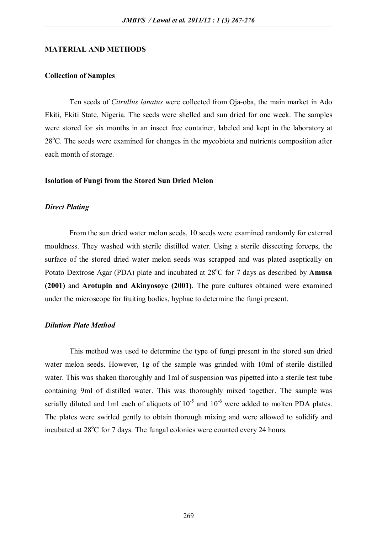# **MATERIAL AND METHODS**

# **Collection of Samples**

Ten seeds of *Citrullus lanatus* were collected from Oja-oba, the main market in Ado Ekiti, Ekiti State, Nigeria. The seeds were shelled and sun dried for one week. The samples were stored for six months in an insect free container, labeled and kept in the laboratory at  $28^{\circ}$ C. The seeds were examined for changes in the mycobiota and nutrients composition after each month of storage.

#### **Isolation of Fungi from the Stored Sun Dried Melon**

### *Direct Plating*

From the sun dried water melon seeds, 10 seeds were examined randomly for external mouldness. They washed with sterile distilled water. Using a sterile dissecting forceps, the surface of the stored dried water melon seeds was scrapped and was plated aseptically on Potato Dextrose Agar (PDA) plate and incubated at 28<sup>o</sup>C for 7 days as described by **Amusa (2001)** and **Arotupin and Akinyosoye (2001)**. The pure cultures obtained were examined under the microscope for fruiting bodies, hyphae to determine the fungi present.

# *Dilution Plate Method*

This method was used to determine the type of fungi present in the stored sun dried water melon seeds. However, 1g of the sample was grinded with 10ml of sterile distilled water. This was shaken thoroughly and 1ml of suspension was pipetted into a sterile test tube containing 9ml of distilled water. This was thoroughly mixed together. The sample was serially diluted and 1ml each of aliquots of  $10^{-5}$  and  $10^{-6}$  were added to molten PDA plates. The plates were swirled gently to obtain thorough mixing and were allowed to solidify and incubated at  $28^{\circ}$ C for 7 days. The fungal colonies were counted every 24 hours.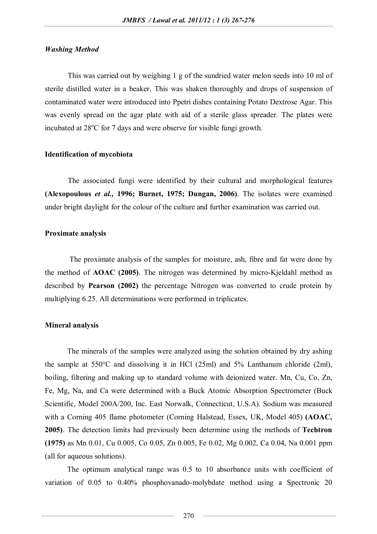# *Washing Method*

This was carried out by weighing 1 g of the sundried water melon seeds into 10 ml of sterile distilled water in a beaker. This was shaken thoroughly and drops of suspension of contaminated water were introduced into Ppetri dishes containing Potato Dextrose Agar. This was evenly spread on the agar plate with aid of a sterile glass spreader. The plates were incubated at  $28^{\circ}$ C for 7 days and were observe for visible fungi growth.

### **Identification of mycobiota**

The associated fungi were identified by their cultural and morphological features **(Alexopoulous** *et al.,* **1996; Burnet, 1975; Dungan, 2006)**. The isolates were examined under bright daylight for the colour of the culture and further examination was carried out.

### **Proximate analysis**

The proximate analysis of the samples for moisture, ash, fibre and fat were done by the method of **AOAC (2005)**. The nitrogen was determined by micro-Kjeldahl method as described by **Pearson (2002)** the percentage Nitrogen was converted to crude protein by multiplying 6.25. All determinations were performed in triplicates.

### **Mineral analysis**

The minerals of the samples were analyzed using the solution obtained by dry ashing the sample at 550°C and dissolving it in HCl (25ml) and 5% Lanthanum chloride (2ml), boiling, filtering and making up to standard volume with deionized water. Mn, Cu, Co, Zn, Fe, Mg, Na, and Ca were determined with a Buck Atomic Absorption Spectrometer (Buck Scientific, Model 200A/200, Inc. East Norwalk, Connecticut, U.S.A). Sodium was measured with a Corning 405 flame photometer (Corning Halstead, Essex, UK, Model 405) **(AOAC, 2005)**. The detection limits had previously been determine using the methods of **Techtron (1975)** as Mn 0.01, Cu 0.005, Co 0.05, Zn 0.005, Fe 0.02, Mg 0.002, Ca 0.04, Na 0.001 ppm (all for aqueous solutions).

The optimum analytical range was 0.5 to 10 absorbance units with coefficient of variation of 0.05 to 0.40% phosphovanado-molybdate method using a Spectronic 20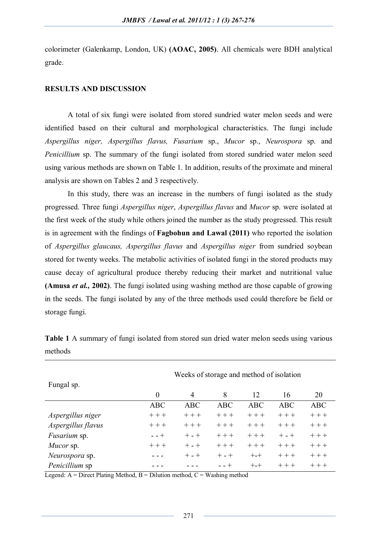colorimeter (Galenkamp, London, UK) **(AOAC, 2005)**. All chemicals were BDH analytical grade.

# **RESULTS AND DISCUSSION**

A total of six fungi were isolated from stored sundried water melon seeds and were identified based on their cultural and morphological characteristics. The fungi include *Aspergillus niger, Aspergillus flavus, Fusarium* sp., *Mucor* sp., *Neurospora* sp. and *Penicillium* sp. The summary of the fungi isolated from stored sundried water melon seed using various methods are shown on Table 1. In addition, results of the proximate and mineral analysis are shown on Tables 2 and 3 respectively.

In this study, there was an increase in the numbers of fungi isolated as the study progressed. Three fungi *Aspergillus niger*, *Aspergillus flavus* and *Mucor* sp. were isolated at the first week of the study while others joined the number as the study progressed. This result is in agreement with the findings of **Fagbohun and Lawal (2011)** who reported the isolation of *Aspergillus glaucaus, Aspergillus flavus* and *Aspergillus niger* from sundried soybean stored for twenty weeks. The metabolic activities of isolated fungi in the stored products may cause decay of agricultural produce thereby reducing their market and nutritional value **(Amusa** *et al.,* **2002)**. The fungi isolated using washing method are those capable of growing in the seeds. The fungi isolated by any of the three methods used could therefore be field or storage fungi.

|                    | Weeks of storage and method of isolation |                |            |            |            |            |  |
|--------------------|------------------------------------------|----------------|------------|------------|------------|------------|--|
| Fungal sp.         |                                          |                |            |            |            |            |  |
|                    | $\overline{0}$                           | $\overline{4}$ | 8          | 12         | 16         | 20         |  |
|                    | <b>ABC</b>                               | <b>ABC</b>     | <b>ABC</b> | <b>ABC</b> | <b>ABC</b> | <b>ABC</b> |  |
| Aspergillus niger  | $++ +$                                   | $++ +$         | $+++$      | $+++$      | $++$       | $+++$      |  |
| Aspergillus flavus | $++ +$                                   | $++ +$         | $++ +$     | $++$       | $++ +$     | $++ +$     |  |
| Fusarium sp.       | $- - +$                                  | $+ - +$        | $+++$      | $+++$      | $+ - +$    | $+ + +$    |  |
| Mucor sp.          | $++$                                     | $+ - +$        | $++ +$     | $+++$      | $++$       | $++ +$     |  |
| Neurospora sp.     |                                          | $+ - +$        | $+ - +$    | $+ - +$    | $++$       | $++ +$     |  |
| Penicillium sp     |                                          |                | - - +      | $+ - +$    | $++ +$     | $++$       |  |

**Table 1** A summary of fungi isolated from stored sun dried water melon seeds using various methods

Legend:  $A = Direct$  Plating Method,  $B = Dilution$  method,  $C = Washington$  method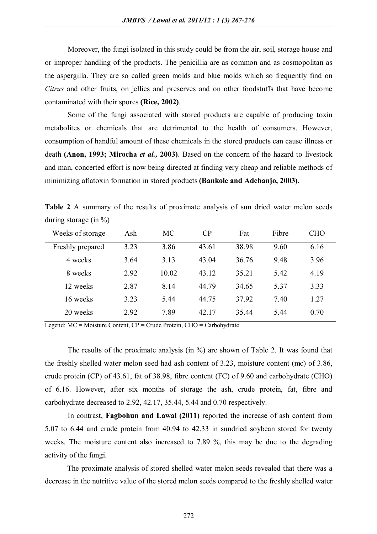Moreover, the fungi isolated in this study could be from the air, soil, storage house and or improper handling of the products. The penicillia are as common and as cosmopolitan as the aspergilla. They are so called green molds and blue molds which so frequently find on *Citrus* and other fruits, on jellies and preserves and on other foodstuffs that have become contaminated with their spores **(Rice, 2002)**.

Some of the fungi associated with stored products are capable of producing toxin metabolites or chemicals that are detrimental to the health of consumers. However, consumption of handful amount of these chemicals in the stored products can cause illness or death **(Anon, 1993; Mirocha** *et al.,* **2003)**. Based on the concern of the hazard to livestock and man, concerted effort is now being directed at finding very cheap and reliable methods of minimizing aflatoxin formation in stored products **(Bankole and Adebanjo, 2003)**.

**Table 2** A summary of the results of proximate analysis of sun dried water melon seeds during storage (in  $\%$ )

| Weeks of storage | Ash  | MC    | CP    | Fat   | Fibre | <b>CHO</b> |
|------------------|------|-------|-------|-------|-------|------------|
| Freshly prepared | 3.23 | 3.86  | 43.61 | 38.98 | 9.60  | 6.16       |
| 4 weeks          | 3.64 | 3.13  | 43.04 | 36.76 | 9.48  | 3.96       |
| 8 weeks          | 2.92 | 10.02 | 43.12 | 35.21 | 5.42  | 4.19       |
| 12 weeks         | 2.87 | 8.14  | 44.79 | 34.65 | 5.37  | 3.33       |
| 16 weeks         | 3.23 | 5.44  | 44.75 | 37.92 | 7.40  | 1.27       |
| 20 weeks         | 2.92 | 7.89  | 42.17 | 35.44 | 544   | 0.70       |

Legend: MC = Moisture Content, CP = Crude Protein, CHO = Carbohydrate

The results of the proximate analysis (in %) are shown of Table 2. It was found that the freshly shelled water melon seed had ash content of 3.23, moisture content (mc) of 3.86, crude protein (CP) of 43.61, fat of 38.98, fibre content (FC) of 9.60 and carbohydrate (CHO) of 6.16. However, after six months of storage the ash, crude protein, fat, fibre and carbohydrate decreased to 2.92, 42.17, 35.44, 5.44 and 0.70 respectively.

In contrast, **Fagbohun and Lawal (2011)** reported the increase of ash content from 5.07 to 6.44 and crude protein from 40.94 to 42.33 in sundried soybean stored for twenty weeks. The moisture content also increased to 7.89 %, this may be due to the degrading activity of the fungi.

The proximate analysis of stored shelled water melon seeds revealed that there was a decrease in the nutritive value of the stored melon seeds compared to the freshly shelled water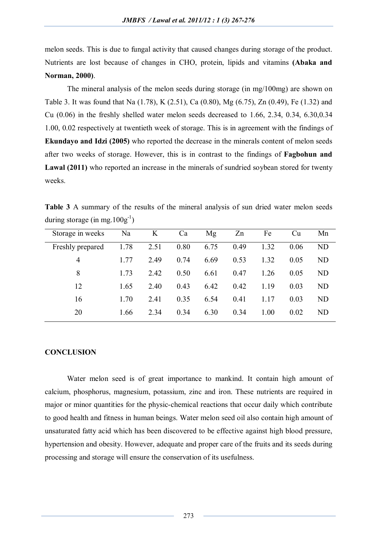melon seeds. This is due to fungal activity that caused changes during storage of the product. Nutrients are lost because of changes in CHO, protein, lipids and vitamins **(Abaka and Norman, 2000)**.

The mineral analysis of the melon seeds during storage (in mg/100mg) are shown on Table 3. It was found that Na (1.78), K (2.51), Ca (0.80), Mg (6.75), Zn (0.49), Fe (1.32) and Cu (0.06) in the freshly shelled water melon seeds decreased to 1.66, 2.34, 0.34, 6.30,0.34 1.00, 0.02 respectively at twentieth week of storage. This is in agreement with the findings of **Ekundayo and Idzi (2005)** who reported the decrease in the minerals content of melon seeds after two weeks of storage. However, this is in contrast to the findings of **Fagbohun and**  Lawal (2011) who reported an increase in the minerals of sundried soybean stored for twenty weeks.

**Table 3** A summary of the results of the mineral analysis of sun dried water melon seeds during storage (in mg.  $100g^{-1}$ )

| Storage in weeks | Na   | K    | Ca   | Mg   | Zn   | Fe   | <b>Cu</b> | Mn             |
|------------------|------|------|------|------|------|------|-----------|----------------|
| Freshly prepared | 1.78 | 2.51 | 0.80 | 6.75 | 0.49 | 1.32 | 0.06      | ND             |
| 4                | 1.77 | 2.49 | 0.74 | 6.69 | 0.53 | 1.32 | 0.05      | ND             |
| 8                | 1.73 | 2.42 | 0.50 | 6.61 | 0.47 | 1.26 | 0.05      | N <sub>D</sub> |
| 12               | 1.65 | 2.40 | 0.43 | 6.42 | 0.42 | 1.19 | 0.03      | <b>ND</b>      |
| 16               | 1.70 | 2.41 | 0.35 | 6.54 | 0.41 | 1.17 | 0.03      | N <sub>D</sub> |
| 20               | 1.66 | 2.34 | 0.34 | 6.30 | 0.34 | 1.00 | 0.02      | <b>ND</b>      |

### **CONCLUSION**

Water melon seed is of great importance to mankind. It contain high amount of calcium, phosphorus, magnesium, potassium, zinc and iron. These nutrients are required in major or minor quantities for the physic-chemical reactions that occur daily which contribute to good health and fitness in human beings. Water melon seed oil also contain high amount of unsaturated fatty acid which has been discovered to be effective against high blood pressure, hypertension and obesity. However, adequate and proper care of the fruits and its seeds during processing and storage will ensure the conservation of its usefulness.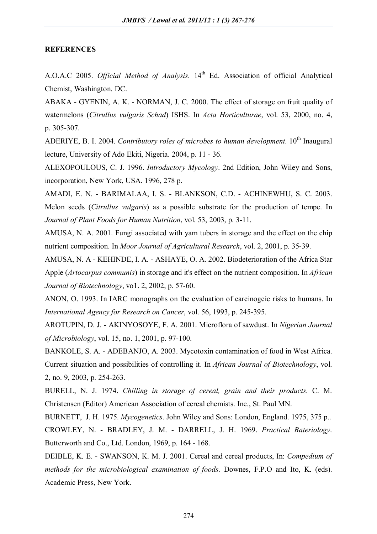# **REFERENCES**

A.O.A.C 2005. *Official Method of Analysis*. 14th Ed. Association of official Analytical Chemist, Washington. DC.

ABAKA - GYENIN, A. K. - NORMAN, J. C. 2000. The effect of storage on fruit quality of watermelons (*Citrullus vulgaris Schad*) ISHS. In *Acta Horticulturae*, vol. 53, 2000, no. 4, p. 305-307.

ADERIYE, B. I. 2004. *Contributory roles of microbes to human development*. 10<sup>th</sup> Inaugural lecture, University of Ado Ekiti, Nigeria. 2004, p. 11 - 36.

ALEXOPOULOUS, C. J. 1996. *Introductory Mycology*. 2nd Edition, John Wiley and Sons, incorporation, New York, USA. 1996, 278 p.

AMADI, E. N. - BARIMALAA, I. S. - BLANKSON, C.D. - ACHINEWHU, S. C. 2003. Melon seeds (*Citrullus vulgaris*) as a possible substrate for the production of tempe. In *Journal of Plant Foods for Human Nutrition*, vol. 53, 2003, p. 3-11.

AMUSA, N. A. 2001. Fungi associated with yam tubers in storage and the effect on the chip nutrient composition. In *Moor Journal of Agricultural Research*, vol. 2, 2001, p. 35-39.

AMUSA, N. A - KEHINDE, I. A. - ASHAYE, O. A. 2002. Biodeterioration of the Africa Star Apple (*Artocarpus communis*) in storage and it's effect on the nutrient composition. In *African Journal of Biotechnology*, vo1. 2, 2002, p. 57-60.

ANON, O. 1993. In IARC monographs on the evaluation of carcinogeic risks to humans. In *International Agency for Research on Cancer*, vol. 56, 1993, p. 245-395.

AROTUPIN, D. J. - AKINYOSOYE, F. A. 2001. Microflora of sawdust. In *Nigerian Journal of Microbiology*, vol. 15, no. 1, 2001, p. 97-100.

BANKOLE, S. A. - ADEBANJO, A. 2003. Mycotoxin contamination of food in West Africa. Current situation and possibilities of controlling it. In *African Journal of Biotechnology*, vol. 2, no. 9, 2003, p. 254-263.

BURELL, N. J. 1974. *Chilling in storage of cereal, grain and their products*. C. M. Christensen (Editor) American Association of cereal chemists. Inc., St. Paul MN.

BURNETT, J. H. 1975. *Mycogenetics*. John Wiley and Sons: London, England. 1975, 375 p.. CROWLEY, N. - BRADLEY, J. M. - DARRELL, J. H. 1969. *Practical Bateriology*. Butterworth and Co., Ltd. London, 1969, p. 164 - 168.

DEIBLE, K. E. - SWANSON, K. M. J. 2001. Cereal and cereal products, In: *Compedium of methods for the microbiological examination of foods*. Downes, F.P.O and Ito, K. (eds). Academic Press, New York.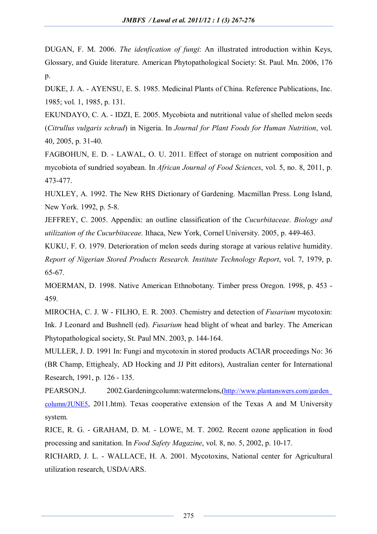DUGAN, F. M. 2006. *The idenfication of fungi*: An illustrated introduction within Keys, Glossary, and Guide literature. American Phytopathological Society: St. Paul. Mn. 2006, 176  $p_{\cdot}$ 

DUKE, J. A. - AYENSU, E. S. 1985. Medicinal Plants of China. Reference Publications, Inc. 1985; vol. 1, 1985, p. 131.

EKUNDAYO, C. A. - IDZI, E. 2005. Mycobiota and nutritional value of shelled melon seeds (*Citrullus vulgaris schrad*) in Nigeria. In *Journal for Plant Foods for Human Nutrition*, vol. 40, 2005, p. 31-40.

FAGBOHUN, E. D. - LAWAL, O. U. 2011. Effect of storage on nutrient composition and mycobiota of sundried soyabean. In *African Journal of Food Sciences*, vol. 5, no. 8, 2011, p. 473-477.

HUXLEY, A. 1992. The New RHS Dictionary of Gardening. Macmillan Press. Long Island, New York. 1992, p. 5-8.

JEFFREY, C. 2005. Appendix: an outline classification of the *Cucurbitaceae*. *Biology and utilization of the Cucurbitaceae.* Ithaca, New York, Cornel University. 2005, p. 449-463.

KUKU, F. O. 1979. Deterioration of melon seeds during storage at various relative humidity. *Report of Nigerian Stored Products Research. Institute Technology Report*, vol. 7, 1979, p. 65-67.

MOERMAN, D. 1998. Native American Ethnobotany. Timber press Oregon. 1998, p. 453 - 459.

MIROCHA, C. J. W - FILHO, E. R. 2003. Chemistry and detection of *Fusarium* mycotoxin: Ink. J Leonard and Bushnell (ed). *Fusarium* head blight of wheat and barley. The American Phytopathological society, St. Paul MN. 2003, p. 144-164.

MULLER, J. D. 1991 In: Fungi and mycotoxin in stored products ACIAR proceedings No: 36 (BR Champ, Ettighealy, AD Hocking and JJ Pitt editors), Australian center for International Research, 1991, p. 126 - 135.

PEARSON,J. 2002.Gardeningcolumn:watermelons,(http://www.plantanswers.com/garden\_ column/JUNE5, 2011.htm). Texas cooperative extension of the Texas A and M University system.

RICE, R. G. - GRAHAM, D. M. - LOWE, M. T. 2002. Recent ozone application in food processing and sanitation. In *Food Safety Magazine*, vol. 8, no. 5, 2002, p. 10-17.

RICHARD, J. L. - WALLACE, H. A. 2001. Mycotoxins, National center for Agricultural utilization research, USDA/ARS.